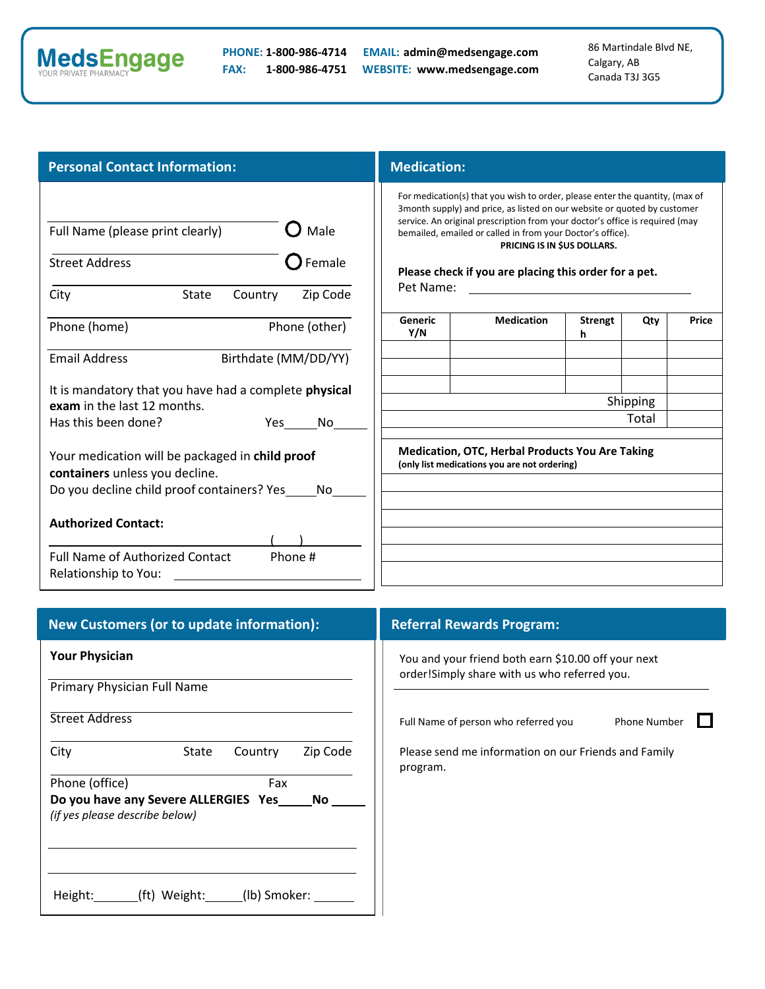

**PHONE: 1-800-986-4714 EMAIL: admin@medsengage.com FAX: 1-800-986-4751 WEBSITE: www.medsengage.com** 86 Martindale Blvd NE, Calgary, AB Canada T3J 3G5

## **Personal Contact Information:**

| Full Name (please print clearly)                                                                                                                         |                      |               | $\lambda$ Male |  |  |
|----------------------------------------------------------------------------------------------------------------------------------------------------------|----------------------|---------------|----------------|--|--|
|                                                                                                                                                          |                      |               |                |  |  |
| <b>Street Address</b>                                                                                                                                    |                      |               | Female         |  |  |
| City                                                                                                                                                     | State                | Country       | Zip Code       |  |  |
| Phone (home)                                                                                                                                             |                      | Phone (other) |                |  |  |
| <b>Email Address</b>                                                                                                                                     | Birthdate (MM/DD/YY) |               |                |  |  |
| It is mandatory that you have had a complete <b>physical</b><br>exam in the last 12 months.                                                              |                      |               |                |  |  |
| Has this been done?                                                                                                                                      |                      |               | Yes No         |  |  |
| Your medication will be packaged in <b>child proof</b><br>containers unless you decline.<br>Do you decline child proof containers? Yes<br>N <sub>0</sub> |                      |               |                |  |  |
| <b>Authorized Contact:</b>                                                                                                                               |                      |               |                |  |  |
| <b>Full Name of Authorized Contact</b><br>Relationship to You:                                                                                           |                      |               | Phone #        |  |  |

## **Medication**

For medication(s) that you wish to order, please enter the quantity, (max of 3month supply) and price, as listed on our website or quoted by customer service. An original prescription from your doctor's office is required (may bemailed, emailed or called in from your Doctor's office). **PRICING IS IN \$US DOLLARS.**

| Generic<br>Y/N | <b>Medication</b> | <b>Strengt</b><br>h | Qty      | Price |
|----------------|-------------------|---------------------|----------|-------|
|                |                   |                     |          |       |
|                |                   |                     |          |       |
|                |                   |                     | Shipping |       |
|                |                   |                     | Total    |       |
|                |                   |                     |          |       |

| New Customers (or to update information): | <b>Referral Rewards Program:</b> |
|-------------------------------------------|----------------------------------|
|-------------------------------------------|----------------------------------|

You and your friend both earn \$10.00 off your next order!Simply share with us who referred you.

Full Name of person who referred you Phone Number

П

Please send me information on our Friends and Family program.

Primary Physician Full Name

**Your Physician**

Street Address

City **State Country** Zip Code

| Phone (office)                       | Fax |     |
|--------------------------------------|-----|-----|
| Do you have any Severe ALLERGIES Yes |     | No. |
| (if yes please describe below)       |     |     |

Height: (ft) Weight: (lb) Smoker: \_\_\_\_\_